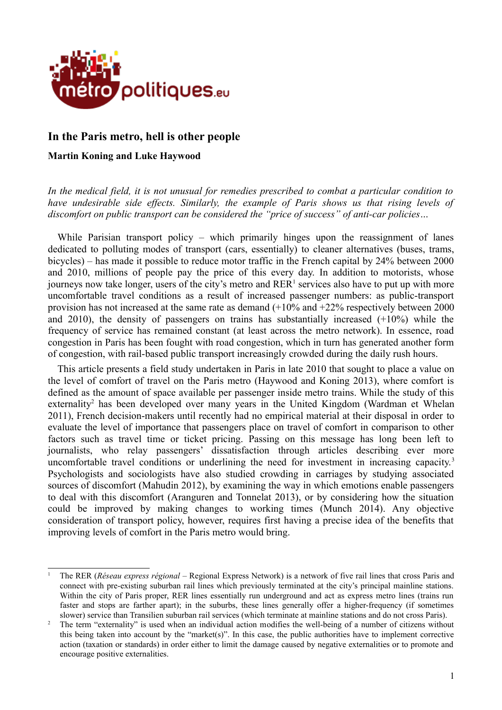

# **In the Paris metro, hell is other people**

## **Martin Koning and Luke Haywood**

*In the medical field, it is not unusual for remedies prescribed to combat a particular condition to have undesirable side effects. Similarly, the example of Paris shows us that rising levels of discomfort on public transport can be considered the "price of success" of anti-car policies…*

While Parisian transport policy – which primarily hinges upon the reassignment of lanes dedicated to polluting modes of transport (cars, essentially) to cleaner alternatives (buses, trams, bicycles) – has made it possible to reduce motor traffic in the French capital by 24% between 2000 and 2010, millions of people pay the price of this every day. In addition to motorists, whose journeys now take longer, users of the city's metro and  $RER<sup>1</sup>$  $RER<sup>1</sup>$  $RER<sup>1</sup>$  services also have to put up with more uncomfortable travel conditions as a result of increased passenger numbers: as public-transport provision has not increased at the same rate as demand (+10% and +22% respectively between 2000 and 2010), the density of passengers on trains has substantially increased  $(+10\%)$  while the frequency of service has remained constant (at least across the metro network). In essence, road congestion in Paris has been fought with road congestion, which in turn has generated another form of congestion, with rail-based public transport increasingly crowded during the daily rush hours.

This article presents a field study undertaken in Paris in late 2010 that sought to place a value on the level of comfort of travel on the Paris metro (Haywood and Koning 2013), where comfort is defined as the amount of space available per passenger inside metro trains. While the study of this externality<sup>[2](#page-0-1)</sup> has been developed over many years in the United Kingdom (Wardman et Whelan 2011), French decision-makers until recently had no empirical material at their disposal in order to evaluate the level of importance that passengers place on travel of comfort in comparison to other factors such as travel time or ticket pricing. Passing on this message has long been left to journalists, who relay passengers' dissatisfaction through articles describing ever more uncomfortable travel conditions or underlining the need for investment in increasing capacity.<sup>[3](#page-1-0)</sup> Psychologists and sociologists have also studied crowding in carriages by studying associated sources of discomfort (Mahudin 2012), by examining the way in which emotions enable passengers to deal with this discomfort (Aranguren and Tonnelat 2013), or by considering how the situation could be improved by making changes to working times (Munch 2014). Any objective consideration of transport policy, however, requires first having a precise idea of the benefits that improving levels of comfort in the Paris metro would bring.

<span id="page-0-0"></span><sup>1</sup> The RER (*Réseau express régional* – Regional Express Network) is a network of five rail lines that cross Paris and connect with pre-existing suburban rail lines which previously terminated at the city's principal mainline stations. Within the city of Paris proper, RER lines essentially run underground and act as express metro lines (trains run faster and stops are farther apart); in the suburbs, these lines generally offer a higher-frequency (if sometimes slower) service than Transilien suburban rail services (which terminate at mainline stations and do not cross Paris).

<span id="page-0-1"></span><sup>2</sup> The term "externality" is used when an individual action modifies the well-being of a number of citizens without this being taken into account by the "market(s)". In this case, the public authorities have to implement corrective action (taxation or standards) in order either to limit the damage caused by negative externalities or to promote and encourage positive externalities.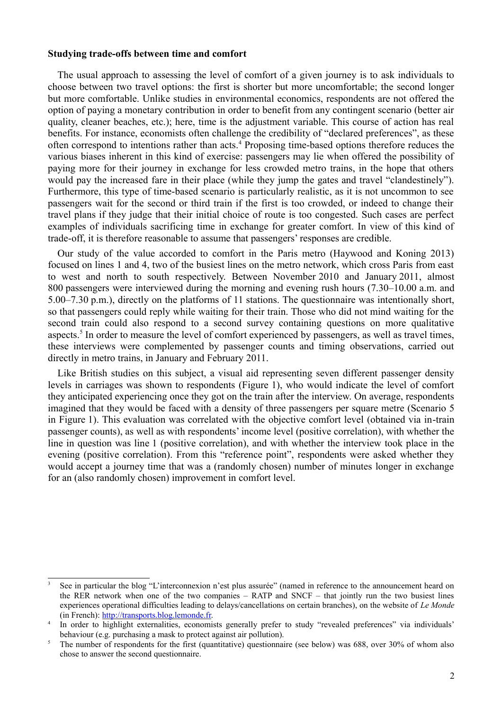## **Studying trade-offs between time and comfort**

The usual approach to assessing the level of comfort of a given journey is to ask individuals to choose between two travel options: the first is shorter but more uncomfortable; the second longer but more comfortable. Unlike studies in environmental economics, respondents are not offered the option of paying a monetary contribution in order to benefit from any contingent scenario (better air quality, cleaner beaches, etc.); here, time is the adjustment variable. This course of action has real benefits. For instance, economists often challenge the credibility of "declared preferences", as these often correspond to intentions rather than acts.<sup>[4](#page-1-1)</sup> Proposing time-based options therefore reduces the various biases inherent in this kind of exercise: passengers may lie when offered the possibility of paying more for their journey in exchange for less crowded metro trains, in the hope that others would pay the increased fare in their place (while they jump the gates and travel "clandestinely"). Furthermore, this type of time-based scenario is particularly realistic, as it is not uncommon to see passengers wait for the second or third train if the first is too crowded, or indeed to change their travel plans if they judge that their initial choice of route is too congested. Such cases are perfect examples of individuals sacrificing time in exchange for greater comfort. In view of this kind of trade-off, it is therefore reasonable to assume that passengers' responses are credible.

Our study of the value accorded to comfort in the Paris metro (Haywood and Koning 2013) focused on lines 1 and 4, two of the busiest lines on the metro network, which cross Paris from east to west and north to south respectively. Between November 2010 and January 2011, almost 800 passengers were interviewed during the morning and evening rush hours (7.30–10.00 a.m. and 5.00–7.30 p.m.), directly on the platforms of 11 stations. The questionnaire was intentionally short, so that passengers could reply while waiting for their train. Those who did not mind waiting for the second train could also respond to a second survey containing questions on more qualitative aspects.<sup>[5](#page-1-2)</sup> In order to measure the level of comfort experienced by passengers, as well as travel times, these interviews were complemented by passenger counts and timing observations, carried out directly in metro trains, in January and February 2011.

Like British studies on this subject, a visual aid representing seven different passenger density levels in carriages was shown to respondents (Figure 1), who would indicate the level of comfort they anticipated experiencing once they got on the train after the interview. On average, respondents imagined that they would be faced with a density of three passengers per square metre (Scenario 5 in Figure 1). This evaluation was correlated with the objective comfort level (obtained via in-train passenger counts), as well as with respondents' income level (positive correlation), with whether the line in question was line 1 (positive correlation), and with whether the interview took place in the evening (positive correlation). From this "reference point", respondents were asked whether they would accept a journey time that was a (randomly chosen) number of minutes longer in exchange for an (also randomly chosen) improvement in comfort level.

<span id="page-1-0"></span><sup>3</sup> See in particular the blog "L'interconnexion n'est plus assurée" (named in reference to the announcement heard on the RER network when one of the two companies – RATP and SNCF – that jointly run the two busiest lines experiences operational difficulties leading to delays/cancellations on certain branches), on the website of *Le Monde* (in French): [http://transports.blog.lemonde.fr.](http://transports.blog.lemonde.fr/)

<span id="page-1-1"></span><sup>4</sup> In order to highlight externalities, economists generally prefer to study "revealed preferences" via individuals' behaviour (e.g. purchasing a mask to protect against air pollution).

<span id="page-1-2"></span><sup>&</sup>lt;sup>5</sup> The number of respondents for the first (quantitative) questionnaire (see below) was 688, over 30% of whom also chose to answer the second questionnaire.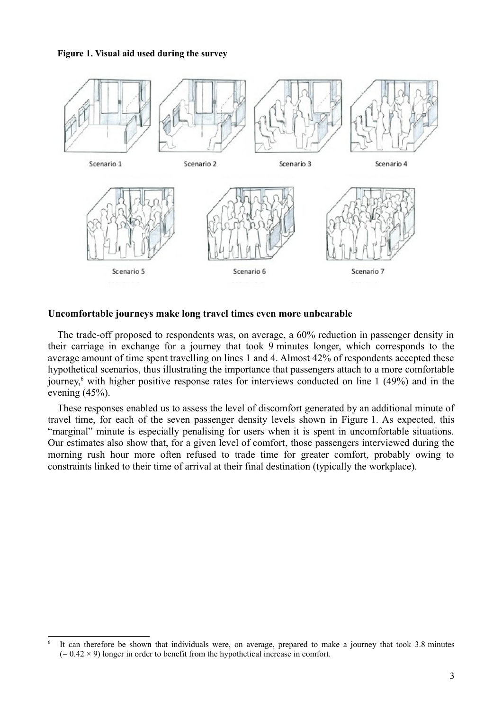## **Figure 1. Visual aid used during the survey**



## **Uncomfortable journeys make long travel times even more unbearable**

The trade-off proposed to respondents was, on average, a 60% reduction in passenger density in their carriage in exchange for a journey that took 9 minutes longer, which corresponds to the average amount of time spent travelling on lines 1 and 4. Almost 42% of respondents accepted these hypothetical scenarios, thus illustrating the importance that passengers attach to a more comfortable journey,<sup>[6](#page-2-0)</sup> with higher positive response rates for interviews conducted on line 1 (49%) and in the evening (45%).

These responses enabled us to assess the level of discomfort generated by an additional minute of travel time, for each of the seven passenger density levels shown in Figure 1. As expected, this "marginal" minute is especially penalising for users when it is spent in uncomfortable situations. Our estimates also show that, for a given level of comfort, those passengers interviewed during the morning rush hour more often refused to trade time for greater comfort, probably owing to constraints linked to their time of arrival at their final destination (typically the workplace).

<span id="page-2-0"></span><sup>6</sup> It can therefore be shown that individuals were, on average, prepared to make a journey that took 3.8 minutes  $(= 0.42 \times 9)$  longer in order to benefit from the hypothetical increase in comfort.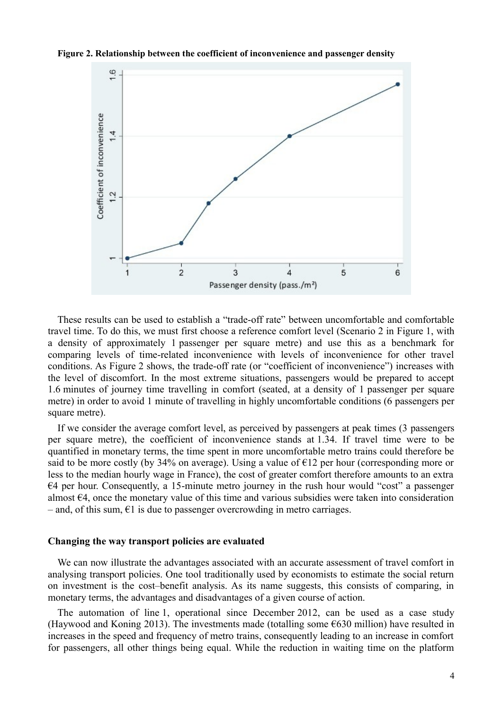**Figure 2. Relationship between the coefficient of inconvenience and passenger density**



These results can be used to establish a "trade-off rate" between uncomfortable and comfortable travel time. To do this, we must first choose a reference comfort level (Scenario 2 in Figure 1, with a density of approximately 1 passenger per square metre) and use this as a benchmark for comparing levels of time-related inconvenience with levels of inconvenience for other travel conditions. As Figure 2 shows, the trade-off rate (or "coefficient of inconvenience") increases with the level of discomfort. In the most extreme situations, passengers would be prepared to accept 1.6 minutes of journey time travelling in comfort (seated, at a density of 1 passenger per square metre) in order to avoid 1 minute of travelling in highly uncomfortable conditions (6 passengers per square metre).

If we consider the average comfort level, as perceived by passengers at peak times (3 passengers per square metre), the coefficient of inconvenience stands at 1.34. If travel time were to be quantified in monetary terms, the time spent in more uncomfortable metro trains could therefore be said to be more costly (by 34% on average). Using a value of  $\epsilon$ 12 per hour (corresponding more or less to the median hourly wage in France), the cost of greater comfort therefore amounts to an extra €4 per hour. Consequently, a 15-minute metro journey in the rush hour would "cost" a passenger almost  $64$ , once the monetary value of this time and various subsidies were taken into consideration – and, of this sum,  $\epsilon$ 1 is due to passenger overcrowding in metro carriages.

## **Changing the way transport policies are evaluated**

We can now illustrate the advantages associated with an accurate assessment of travel comfort in analysing transport policies. One tool traditionally used by economists to estimate the social return on investment is the cost–benefit analysis. As its name suggests, this consists of comparing, in monetary terms, the advantages and disadvantages of a given course of action.

The automation of line 1, operational since December 2012, can be used as a case study (Haywood and Koning 2013). The investments made (totalling some  $\epsilon$ 630 million) have resulted in increases in the speed and frequency of metro trains, consequently leading to an increase in comfort for passengers, all other things being equal. While the reduction in waiting time on the platform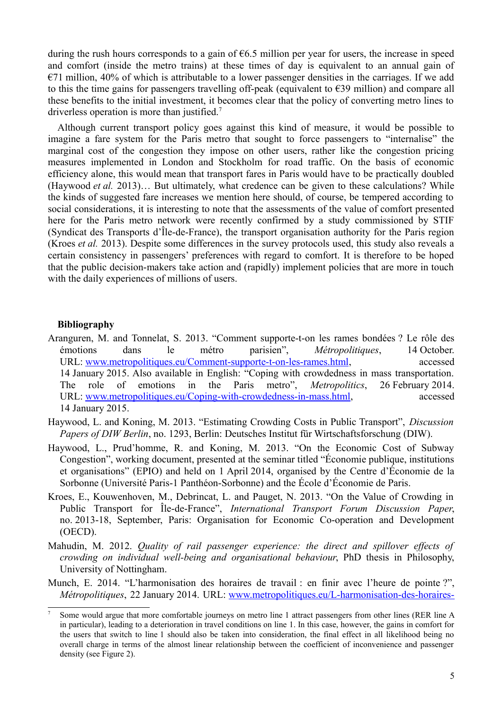during the rush hours corresponds to a gain of  $66.5$  million per year for users, the increase in speed and comfort (inside the metro trains) at these times of day is equivalent to an annual gain of  $E$ 71 million, 40% of which is attributable to a lower passenger densities in the carriages. If we add to this the time gains for passengers travelling off-peak (equivalent to  $\epsilon$ 39 million) and compare all these benefits to the initial investment, it becomes clear that the policy of converting metro lines to driverless operation is more than justified.<sup>[7](#page-4-0)</sup>

Although current transport policy goes against this kind of measure, it would be possible to imagine a fare system for the Paris metro that sought to force passengers to "internalise" the marginal cost of the congestion they impose on other users, rather like the congestion pricing measures implemented in London and Stockholm for road traffic. On the basis of economic efficiency alone, this would mean that transport fares in Paris would have to be practically doubled (Haywood *et al.* 2013)… But ultimately, what credence can be given to these calculations? While the kinds of suggested fare increases we mention here should, of course, be tempered according to social considerations, it is interesting to note that the assessments of the value of comfort presented here for the Paris metro network were recently confirmed by a study commissioned by STIF (Syndicat des Transports d'Île-de-France), the transport organisation authority for the Paris region (Kroes *et al.* 2013). Despite some differences in the survey protocols used, this study also reveals a certain consistency in passengers' preferences with regard to comfort. It is therefore to be hoped that the public decision-makers take action and (rapidly) implement policies that are more in touch with the daily experiences of millions of users.

## **Bibliography**

- Aranguren, M. and Tonnelat, S. 2013. "Comment supporte-t-on les rames bondées ? Le rôle des émotions dans le métro parisien", *Métropolitiques*, 14 October. URL: [www.metropolitiques.eu/Comment-supporte-t-on-les-rames.html,](http://www.metropolitiques.eu/Comment-supporte-t-on-les-rames.html) accessed 14 January 2015. Also available in English: "Coping with crowdedness in mass transportation. The role of emotions in the Paris metro", *Metropolitics*, 26 February 2014. URL: [www.metropolitiques.eu/Coping-with-crowdedness-in-mass.html,](http://www.metropolitiques.eu/Coping-with-crowdedness-in-mass.html) accessed 14 January 2015.
- Haywood, L. and Koning, M. 2013. "Estimating Crowding Costs in Public Transport", *Discussion Papers of DIW Berlin*, no. 1293, Berlin: Deutsches Institut für Wirtschaftsforschung (DIW).
- Haywood, L., Prud'homme, R. and Koning, M. 2013. "On the Economic Cost of Subway Congestion", working document, presented at the seminar titled "Économie publique, institutions et organisations" (EPIO) and held on 1 April 2014, organised by the Centre d'Économie de la Sorbonne (Université Paris-1 Panthéon-Sorbonne) and the École d'Économie de Paris.
- Kroes, E., Kouwenhoven, M., Debrincat, L. and Pauget, N. 2013. "On the Value of Crowding in Public Transport for Île-de-France", *International Transport Forum Discussion Paper*, no. 2013-18, September, Paris: Organisation for Economic Co-operation and Development (OECD).
- Mahudin, M. 2012. *Quality of rail passenger experience: the direct and spillover effects of crowding on individual well-being and organisational behaviour*, PhD thesis in Philosophy, University of Nottingham.
- Munch, E. 2014. "L'harmonisation des horaires de travail : en finir avec l'heure de pointe ?", *Métropolitiques*, 22 January 2014. URL: [www.metropolitiques.eu/L-harmonisation-des-horaires-](http://www.metropolitiques.eu/L-harmonisation-des-horaires-de.html)

<span id="page-4-0"></span><sup>7</sup> Some would argue that more comfortable journeys on metro line 1 attract passengers from other lines (RER line A in particular), leading to a deterioration in travel conditions on line 1. In this case, however, the gains in comfort for the users that switch to line 1 should also be taken into consideration, the final effect in all likelihood being no overall charge in terms of the almost linear relationship between the coefficient of inconvenience and passenger density (see Figure 2).